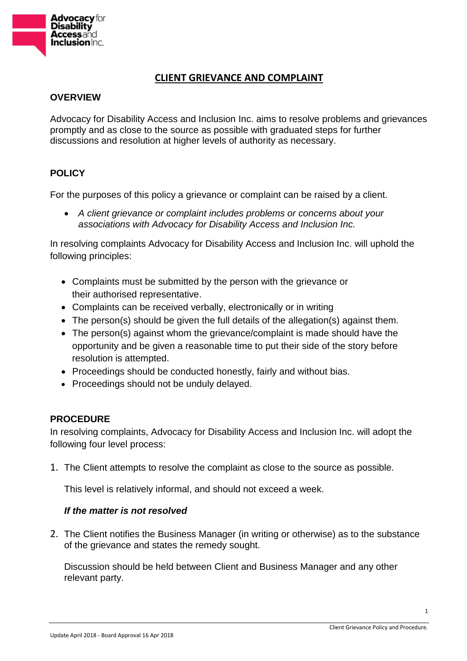

# **CLIENT GRIEVANCE AND COMPLAINT**

# **OVERVIEW**

Advocacy for Disability Access and Inclusion Inc. aims to resolve problems and grievances promptly and as close to the source as possible with graduated steps for further discussions and resolution at higher levels of authority as necessary.

# **POLICY**

For the purposes of this policy a grievance or complaint can be raised by a client.

 *A client grievance or complaint includes problems or concerns about your associations with Advocacy for Disability Access and Inclusion Inc.*

In resolving complaints Advocacy for Disability Access and Inclusion Inc. will uphold the following principles:

- Complaints must be submitted by the person with the grievance or their authorised representative.
- Complaints can be received verbally, electronically or in writing
- The person(s) should be given the full details of the allegation(s) against them.
- The person(s) against whom the grievance/complaint is made should have the opportunity and be given a reasonable time to put their side of the story before resolution is attempted.
- Proceedings should be conducted honestly, fairly and without bias.
- Proceedings should not be unduly delayed.

# **PROCEDURE**

In resolving complaints, Advocacy for Disability Access and Inclusion Inc. will adopt the following four level process:

1. The Client attempts to resolve the complaint as close to the source as possible.

This level is relatively informal, and should not exceed a week.

# *If the matter is not resolved*

2. The Client notifies the Business Manager (in writing or otherwise) as to the substance of the grievance and states the remedy sought.

Discussion should be held between Client and Business Manager and any other relevant party.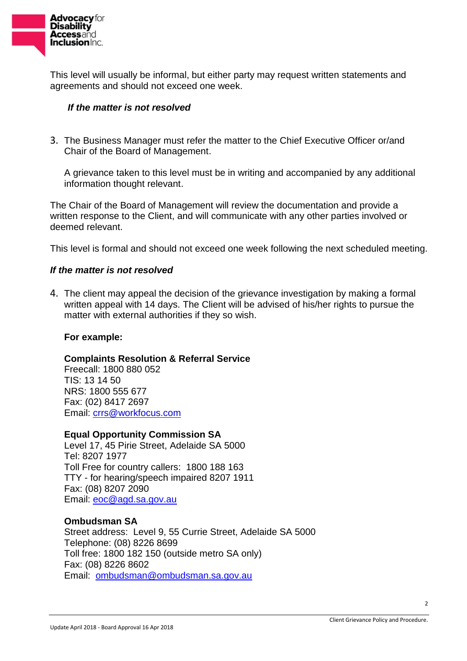

This level will usually be informal, but either party may request written statements and agreements and should not exceed one week.

### *If the matter is not resolved*

3. The Business Manager must refer the matter to the Chief Executive Officer or/and Chair of the Board of Management.

A grievance taken to this level must be in writing and accompanied by any additional information thought relevant.

The Chair of the Board of Management will review the documentation and provide a written response to the Client, and will communicate with any other parties involved or deemed relevant.

This level is formal and should not exceed one week following the next scheduled meeting.

#### *If the matter is not resolved*

4. The client may appeal the decision of the grievance investigation by making a formal written appeal with 14 days. The Client will be advised of his/her rights to pursue the matter with external authorities if they so wish.

#### **For example:**

#### **Complaints Resolution & Referral Service**

Freecall: 1800 880 052 TIS: 13 14 50 NRS: 1800 555 677 Fax: (02) 8417 2697 Email: [crrs@workfocus.com](mailto:crrs@workfocus.com)

# **Equal Opportunity Commission SA**

Level 17, 45 Pirie Street, Adelaide SA 5000 Tel: 8207 1977 Toll Free for country callers: 1800 188 163 TTY - for hearing/speech impaired 8207 1911 Fax: (08) 8207 2090 Email: [eoc@agd.sa.gov.au](mailto:eoc@agd.sa.gov.au)

#### **Ombudsman SA**

Street address: Level 9, 55 Currie Street, Adelaide SA 5000 Telephone: (08) 8226 8699 Toll free: 1800 182 150 (outside metro SA only) Fax: (08) 8226 8602 Email: [ombudsman@ombudsman.sa.gov.au](mailto:ombudsman@ombudsman.sa.gov.au)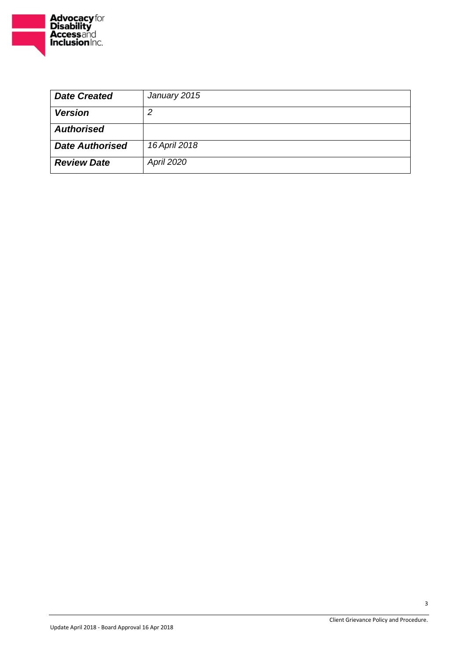

| <b>Date Created</b>    | January 2015      |
|------------------------|-------------------|
| <b>Version</b>         | 2                 |
| <b>Authorised</b>      |                   |
| <b>Date Authorised</b> | 16 April 2018     |
| <b>Review Date</b>     | <b>April 2020</b> |